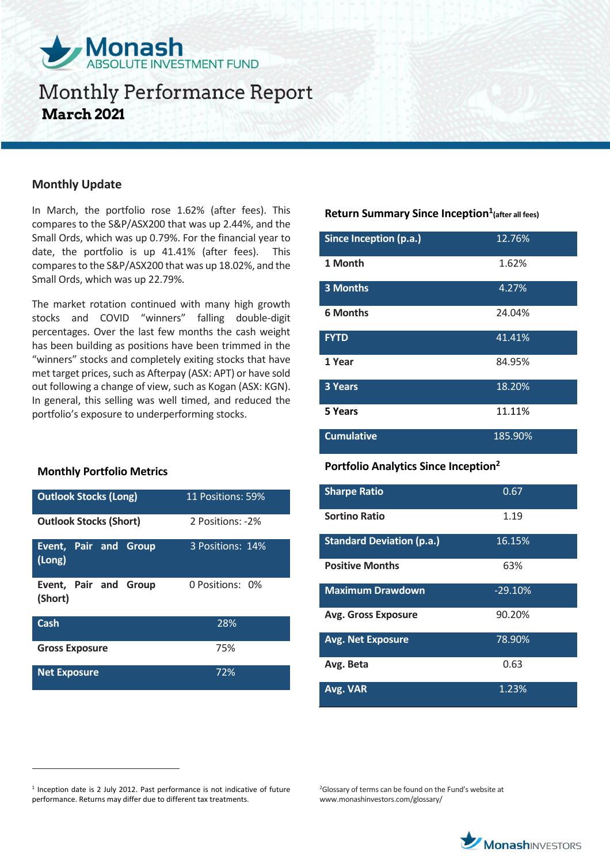

### **Monthly Update**

In March, the portfolio rose 1.62% (after fees). This compares to the S&P/ASX200 that was up 2.44%, and the Small Ords, which was up 0.79%. For the financial year to date, the portfolio is up 41.41% (after fees). This compares to the S&P/ASX200 that was up 18.02%, and the Small Ords, which was up 22.79%.

The market rotation continued with many high growth stocks and COVID "winners" falling double-digit percentages. Over the last few months the cash weight has been building as positions have been trimmed in the "winners" stocks and completely exiting stocks that have met target prices, such as Afterpay (ASX: APT) or have sold out following a change of view, such as Kogan (ASX: KGN). In general, this selling was well timed, and reduced the portfolio's exposure to underperforming stocks.

#### **Monthly Portfolio Metrics**

 $\overline{a}$ 

| <b>Outlook Stocks (Long)</b>     | 11 Positions: 59% |  |
|----------------------------------|-------------------|--|
| <b>Outlook Stocks (Short)</b>    | 2 Positions: -2%  |  |
| Event, Pair and Group<br>(Long)  | 3 Positions: 14%  |  |
| Event, Pair and Group<br>(Short) | 0 Positions: 0%   |  |
| Cash                             | 28%               |  |
| <b>Gross Exposure</b>            | 75%               |  |
| <b>Net Exposure</b>              | 72%               |  |

### **Return Summary Since Inception<sup>1</sup> (after all fees)**

| Since Inception (p.a.) | 12.76%  |
|------------------------|---------|
| 1 Month                | 1.62%   |
| 3 Months               | 4.27%   |
| <b>6 Months</b>        | 24.04%  |
| <b>FYTD</b>            | 41.41%  |
| 1 Year                 | 84.95%  |
| <b>3 Years</b>         | 18.20%  |
| 5 Years                | 11.11%  |
| <b>Cumulative</b>      | 185.90% |

### **Portfolio Analytics Since Inception<sup>2</sup>**

| <b>Sharpe Ratio</b>              | 0.67      |
|----------------------------------|-----------|
| <b>Sortino Ratio</b>             | 1.19      |
| <b>Standard Deviation (p.a.)</b> | 16.15%    |
| <b>Positive Months</b>           | 63%       |
| <b>Maximum Drawdown</b>          | $-29.10%$ |
| <b>Avg. Gross Exposure</b>       | 90.20%    |
| <b>Avg. Net Exposure</b>         | 78.90%    |
| Avg. Beta                        | 0.63      |
| Avg. VAR                         | 1.23%     |

<sup>2</sup>Glossary of terms can be found on the Fund's website at www.monashinvestors.com/glossary/



<sup>&</sup>lt;sup>1</sup> Inception date is 2 July 2012. Past performance is not indicative of future performance. Returns may differ due to different tax treatments.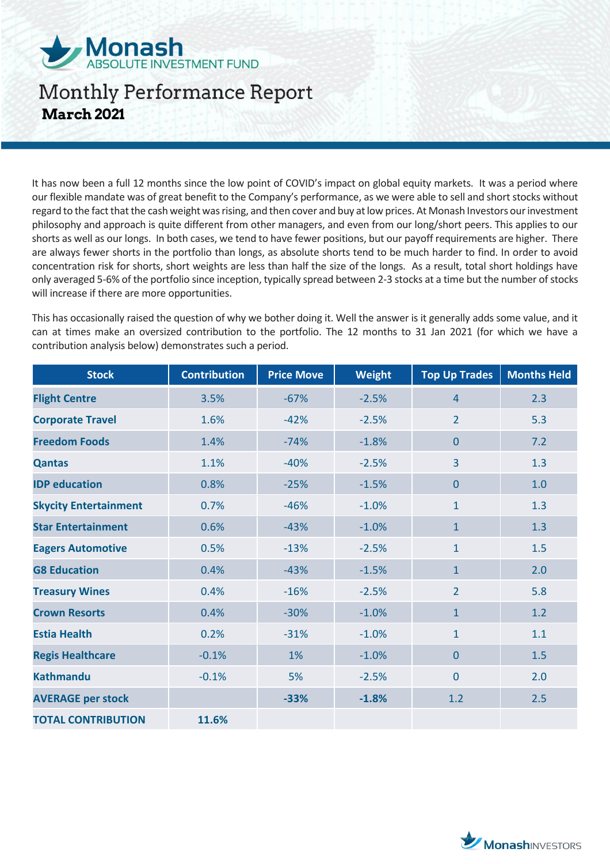

It has now been a full 12 months since the low point of COVID's impact on global equity markets. It was a period where our flexible mandate was of great benefit to the Company's performance, as we were able to sell and short stocks without regard to the fact that the cash weight was rising, and then cover and buy at low prices. At Monash Investors our investment philosophy and approach is quite different from other managers, and even from our long/short peers. This applies to our shorts as well as our longs. In both cases, we tend to have fewer positions, but our payoff requirements are higher. There are always fewer shorts in the portfolio than longs, as absolute shorts tend to be much harder to find. In order to avoid concentration risk for shorts, short weights are less than half the size of the longs. As a result, total short holdings have only averaged 5-6% of the portfolio since inception, typically spread between 2-3 stocks at a time but the number of stocks will increase if there are more opportunities.

This has occasionally raised the question of why we bother doing it. Well the answer is it generally adds some value, and it can at times make an oversized contribution to the portfolio. The 12 months to 31 Jan 2021 (for which we have a contribution analysis below) demonstrates such a period.

| <b>Stock</b>                 | <b>Contribution</b> | <b>Price Move</b> | <b>Weight</b> | <b>Top Up Trades</b> | <b>Months Held</b> |
|------------------------------|---------------------|-------------------|---------------|----------------------|--------------------|
| <b>Flight Centre</b>         | 3.5%                | $-67%$            | $-2.5%$       | $\overline{4}$       | 2.3                |
| <b>Corporate Travel</b>      | 1.6%                | $-42%$            | $-2.5%$       | $\overline{2}$       | 5.3                |
| <b>Freedom Foods</b>         | 1.4%                | $-74%$            | $-1.8%$       | $\overline{0}$       | 7.2                |
| <b>Qantas</b>                | 1.1%                | $-40%$            | $-2.5%$       | 3                    | 1.3                |
| <b>IDP</b> education         | 0.8%                | $-25%$            | $-1.5%$       | $\overline{0}$       | 1.0                |
| <b>Skycity Entertainment</b> | 0.7%                | $-46%$            | $-1.0%$       | $\mathbf{1}$         | 1.3                |
| <b>Star Entertainment</b>    | 0.6%                | $-43%$            | $-1.0%$       | $\mathbf{1}$         | 1.3                |
| <b>Eagers Automotive</b>     | 0.5%                | $-13%$            | $-2.5%$       | $\mathbf{1}$         | 1.5                |
| <b>G8 Education</b>          | 0.4%                | $-43%$            | $-1.5%$       | $\mathbf{1}$         | 2.0                |
| <b>Treasury Wines</b>        | 0.4%                | $-16%$            | $-2.5%$       | $\overline{2}$       | 5.8                |
| <b>Crown Resorts</b>         | 0.4%                | $-30%$            | $-1.0%$       | $\mathbf{1}$         | 1.2                |
| <b>Estia Health</b>          | 0.2%                | $-31%$            | $-1.0%$       | $\mathbf{1}$         | 1.1                |
| <b>Regis Healthcare</b>      | $-0.1%$             | 1%                | $-1.0%$       | $\overline{0}$       | 1.5                |
| <b>Kathmandu</b>             | $-0.1%$             | 5%                | $-2.5%$       | $\overline{0}$       | 2.0                |
| <b>AVERAGE per stock</b>     |                     | $-33%$            | $-1.8%$       | 1.2                  | 2.5                |
| <b>TOTAL CONTRIBUTION</b>    | 11.6%               |                   |               |                      |                    |

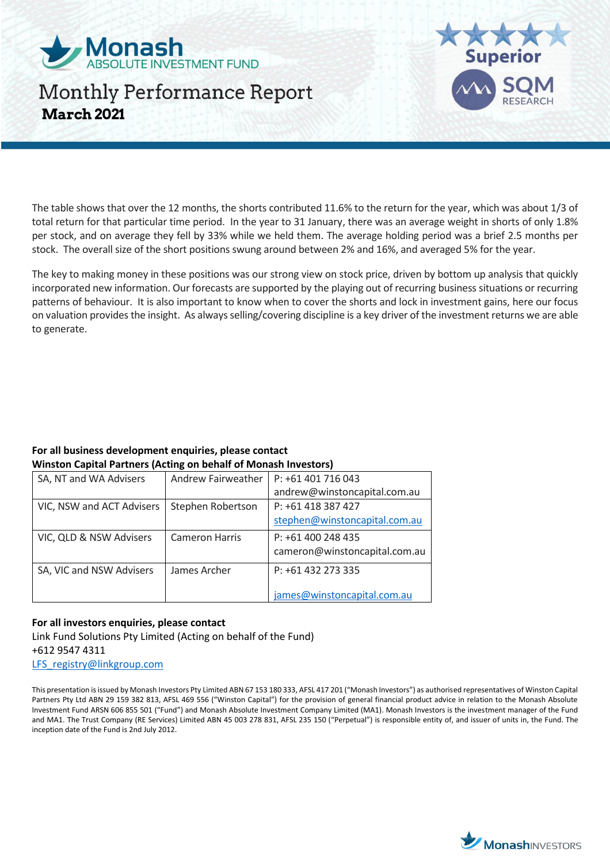



The table shows that over the 12 months, the shorts contributed 11.6% to the return for the year, which was about 1/3 of total return for that particular time period. In the year to 31 January, there was an average weight in shorts of only 1.8% per stock, and on average they fell by 33% while we held them. The average holding period was a brief 2.5 months per stock. The overall size of the short positions swung around between 2% and 16%, and averaged 5% for the year.

The key to making money in these positions was our strong view on stock price, driven by bottom up analysis that quickly incorporated new information. Our forecasts are supported by the playing out of recurring business situations or recurring patterns of behaviour. It is also important to know when to cover the shorts and lock in investment gains, here our focus on valuation provides the insight. As always selling/covering discipline is a key driver of the investment returns we are able to generate.

#### **For all business development enquiries, please contact Winston Capital Partners (Acting on behalf of Monash Investors)**

| SA, NT and WA Advisers    | Andrew Fairweather    | P: +61 401 716 043            |
|---------------------------|-----------------------|-------------------------------|
|                           |                       | andrew@winstoncapital.com.au  |
| VIC, NSW and ACT Advisers | Stephen Robertson     | P: +61 418 387 427            |
|                           |                       | stephen@winstoncapital.com.au |
| VIC, QLD & NSW Advisers   | <b>Cameron Harris</b> | P: +61 400 248 435            |
|                           |                       | cameron@winstoncapital.com.au |
| SA, VIC and NSW Advisers  | James Archer          | P: +61 432 273 335            |
|                           |                       |                               |
|                           |                       | james@winstoncapital.com.au   |

### **For all investors enquiries, please contact**

Link Fund Solutions Pty Limited (Acting on behalf of the Fund) +612 9547 4311 [LFS\\_registry@linkgroup.com](mailto:LFS_registry@linkgroup.com)

This presentation is issued by Monash Investors Pty Limited ABN 67 153 180 333, AFSL 417 201 ("Monash Investors") as authorised representatives of Winston Capital Partners Pty Ltd ABN 29 159 382 813, AFSL 469 556 ("Winston Capital") for the provision of general financial product advice in relation to the Monash Absolute Investment Fund ARSN 606 855 501 ("Fund") and Monash Absolute Investment Company Limited (MA1). Monash Investors is the investment manager of the Fund and MA1. The Trust Company (RE Services) Limited ABN 45 003 278 831, AFSL 235 150 ("Perpetual") is responsible entity of, and issuer of units in, the Fund. The inception date of the Fund is 2nd July 2012.